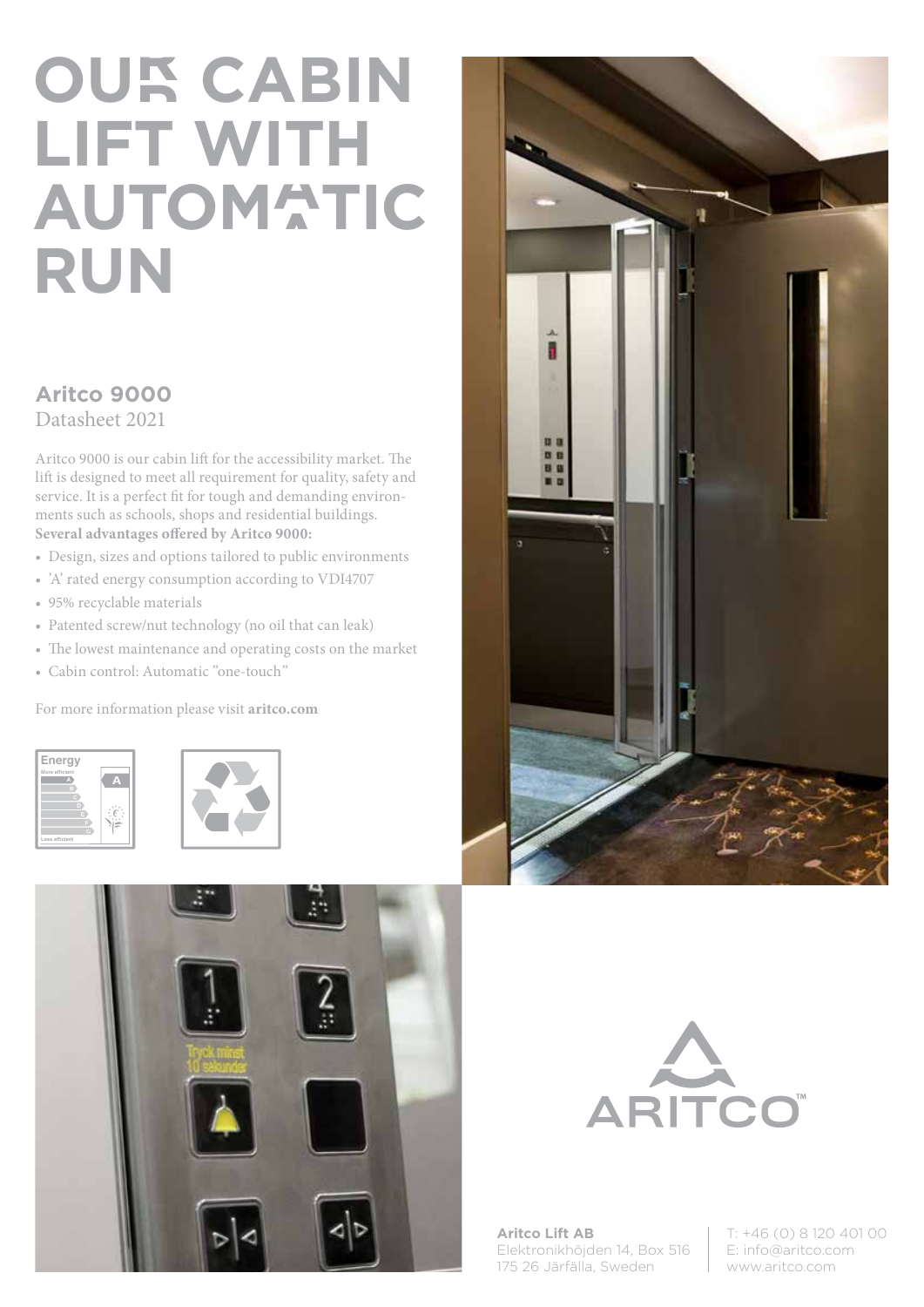# **OUR CABIN LIFT WITH AUTOMATIC RUN**

### **Aritco 9000**

Datasheet 2021

Aritco 9000 is our cabin lift for the accessibility market. The lift is designed to meet all requirement for quality, safety and service. It is a perfect fit for tough and demanding environments such as schools, shops and residential buildings. **Several advantages offered by Aritco 9000:**

- Design, sizes and options tailored to public environments
- 'A' rated energy consumption according to VDI4707
- 95% recyclable materials
- Patented screw/nut technology (no oil that can leak)
- The lowest maintenance and operating costs on the market
- Cabin control: Automatic "one-touch"

For more information please visit **aritco.com**











**Aritco Lift AB** Elektronikhöjden 14, Box 516 175 26 Järfälla, Sweden

T: +46 (0) 8 120 401 00 E: info@aritco.com www.aritco.com